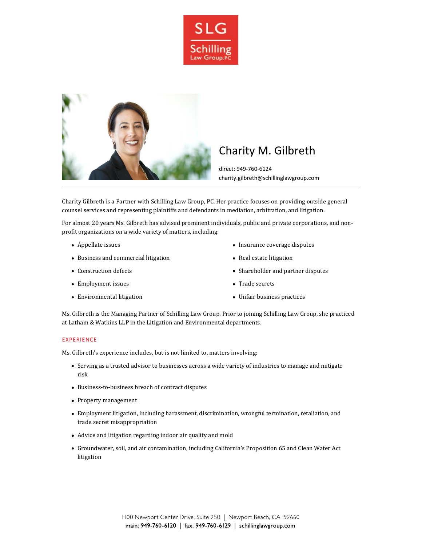



# Charity M. Gilbreth

direct: 949-760-6124 charity.gilbreth@schillinglawgroup.com

Charity Gilbreth is a Partner with Schilling Law Group, PC. Her practice focuses on providing outside general counsel services and representing plaintiffs and defendants in mediation, arbitration, and litigation.

For almost 20 years Ms. Gilbreth has advised prominent individuals, public and private corporations, and nonprofit organizations on a wide variety of matters, including:

- Appellate issues
- Business and commercial litigation
- Construction defects
- Employment issues
- Environmental litigation
- Insurance coverage disputes
- Real estate litigation
- Shareholder and partner disputes
- Trade secrets
- Unfair business practices

Ms. Gilbreth is the Managing Partner of Schilling Law Group. Prior to joining Schilling Law Group, she practiced at Latham & Watkins LLP in the Litigation and Environmental departments.

### **EXPERIENCE**

Ms. Gilbreth's experience includes, but is not limited to, matters involving:

- Serving as a trusted advisor to businesses across a wide variety of industries to manage and mitigate risk
- Business-to-business breach of contract disputes
- Property management
- Employment litigation, including harassment, discrimination, wrongful termination, retaliation, and trade secret misappropriation
- Advice and litigation regarding indoor air quality and mold
- Groundwater, soil, and air contamination, including California's Proposition 65 and Clean Water Act litigation